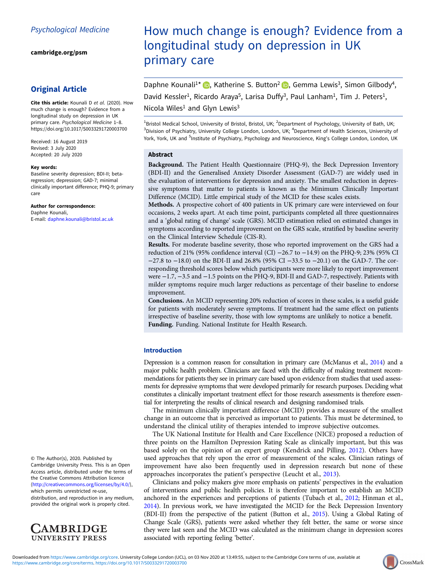[cambridge.org/psm](https://www.cambridge.org/psm)

## Original Article

Cite this article: Kounali D et al. (2020). How much change is enough? Evidence from a longitudinal study on depression in UK primary care. Psychological Medicine 1–8. <https://doi.org/10.1017/S0033291720003700>

Received: 16 August 2019 Revised: 3 July 2020 Accepted: 20 July 2020

### Key words:

Baseline severity depression; BDI-II; betaregression; depression; GAD-7; minimal clinically important difference; PHQ-9; primary care

### Author for correspondence:

Daphne Kounali, E-mail: [daphne.kounali@bristol.ac.uk](mailto:daphne.kounali@bristol.ac.uk)

© The Author(s), 2020. Published by Cambridge University Press. This is an Open Access article, distributed under the terms of the Creative Commons Attribution licence ([http://creativecommons.org/licenses/by/4.0/\)](http://creativecommons.org/licenses/by/4.0/),

which permits unrestricted re-use, distribution, and reproduction in any medium, provided the original work is properly cited.



# How much change is enough? Evidence from a longitudinal study on depression in UK primary care

Daphne Kounali<sup>1\*</sup> **D**[,](https://orcid.org/0000-0003-4332-8789) Katherine S. Button<sup>2</sup> **D**, Gemma Lewis<sup>3</sup>, Simon Gilbody<sup>4</sup>, David Kessler<sup>1</sup>, Ricardo Araya<sup>5</sup>, Larisa Duffy<sup>3</sup>, Paul Lanham<sup>1</sup>, Tim J. Peters<sup>1</sup>, Nicola Wiles<sup>1</sup> and Glyn Lewis<sup>3</sup>

<sup>1</sup>Bristol Medical School, University of Bristol, Bristol, UK; <sup>2</sup>Department of Psychology, University of Bath, UK; <sup>3</sup>Division of Psychiatry, University College London, London, UK; <sup>4</sup>Department of Health Sciences, University of York, York, UK and <sup>5</sup>Institute of Psychiatry, Psychology and Neuroscience, King's College London, London, UK

### Abstract

Background. The Patient Health Questionnaire (PHQ-9), the Beck Depression Inventory (BDI-II) and the Generalised Anxiety Disorder Assessment (GAD-7) are widely used in the evaluation of interventions for depression and anxiety. The smallest reduction in depressive symptoms that matter to patients is known as the Minimum Clinically Important Difference (MCID). Little empirical study of the MCID for these scales exists.

Methods. A prospective cohort of 400 patients in UK primary care were interviewed on four occasions, 2 weeks apart. At each time point, participants completed all three questionnaires and a 'global rating of change' scale (GRS). MCID estimation relied on estimated changes in symptoms according to reported improvement on the GRS scale, stratified by baseline severity on the Clinical Interview Schedule (CIS-R).

Results. For moderate baseline severity, those who reported improvement on the GRS had a reduction of 21% (95% confidence interval (CI) −26.7 to −14.9) on the PHQ-9; 23% (95% CI −27.8 to −18.0) on the BDI-II and 26.8% (95% CI −33.5 to −20.1) on the GAD-7. The corresponding threshold scores below which participants were more likely to report improvement were −1.7, −3.5 and −1.5 points on the PHQ-9, BDI-II and GAD-7, respectively. Patients with milder symptoms require much larger reductions as percentage of their baseline to endorse improvement.

Conclusions. An MCID representing 20% reduction of scores in these scales, is a useful guide for patients with moderately severe symptoms. If treatment had the same effect on patients irrespective of baseline severity, those with low symptoms are unlikely to notice a benefit. Funding. Funding. National Institute for Health Research.

### Introduction

Depression is a common reason for consultation in primary care (McManus et al., [2014\)](#page-7-0) and a major public health problem. Clinicians are faced with the difficulty of making treatment recommendations for patients they see in primary care based upon evidence from studies that used assessments for depressive symptoms that were developed primarily for research purposes. Deciding what constitutes a clinically important treatment effect for those research assessments is therefore essential for interpreting the results of clinical research and designing randomised trials.

The minimum clinically important difference (MCID) provides a measure of the smallest change in an outcome that is perceived as important to patients. This must be determined, to understand the clinical utility of therapies intended to improve subjective outcomes.

The UK National Institute for Health and Care Excellence (NICE) proposed a reduction of three points on the Hamilton Depression Rating Scale as clinically important, but this was based solely on the opinion of an expert group (Kendrick and Pilling, [2012](#page-7-0)). Others have used approaches that rely upon the error of measurement of the scales. Clinician ratings of improvement have also been frequently used in depression research but none of these approaches incorporates the patient's perspective (Leucht et al., [2013\)](#page-7-0).

Clinicians and policy makers give more emphasis on patients' perspectives in the evaluation of interventions and public health policies. It is therefore important to establish an MCID anchored in the experiences and perceptions of patients (Tubach et al., [2012](#page-7-0); Hinman et al., [2014](#page-7-0)). In previous work, we have investigated the MCID for the Beck Depression Inventory (BDI-II) from the perspective of the patient (Button et al., [2015\)](#page-7-0). Using a Global Rating of Change Scale (GRS), patients were asked whether they felt better, the same or worse since they were last seen and the MCID was calculated as the minimum change in depression scores associated with reporting feeling 'better'.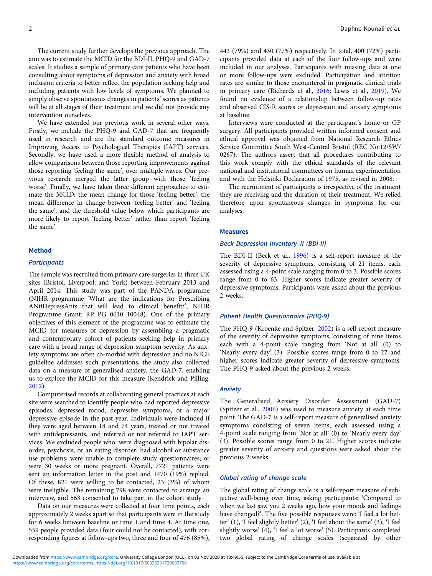The current study further develops the previous approach. The aim was to estimate the MCID for the BDI-II, PHQ-9 and GAD-7 scales. It studies a sample of primary care patients who have been consulting about symptoms of depression and anxiety with broad inclusion criteria to better reflect the population seeking help and including patients with low levels of symptoms. We planned to simply observe spontaneous changes in patients' scores as patients will be at all stages of their treatment and we did not provide any intervention ourselves.

We have extended our previous work in several other ways. Firstly, we include the PHQ-9 and GAD-7 that are frequently used in research and are the standard outcome measures in Improving Access to Psychological Therapies (IAPT) services. Secondly, we have used a more flexible method of analysis to allow comparisons between those reporting improvements against those reporting 'feeling the same', over multiple waves. Our previous research merged the latter group with those 'feeling worse'. Finally, we have taken three different approaches to estimate the MCID: the mean change for those 'feeling better', the mean difference in change between 'feeling better' and 'feeling the same', and the threshold value below which participants are more likely to report 'feeling better' rather than report 'feeling the same'.

### Method

### **Participants**

The sample was recruited from primary care surgeries in three UK sites (Bristol, Liverpool, and York) between February 2013 and April 2014. This study was part of the PANDA programme (NIHR programme 'What are the indications for Prescribing ANtiDepressAnts that will lead to clinical benefit?'; NIHR Programme Grant: RP PG 0610 10048). One of the primary objectives of this element of the programme was to estimate the MCID for measures of depression by assembling a pragmatic and contemporary cohort of patients seeking help in primary care with a broad range of depression symptom severity. As anxiety symptoms are often co-morbid with depression and no NICE guideline addresses such presentations, the study also collected data on a measure of generalised anxiety, the GAD-7, enabling us to explore the MCID for this measure (Kendrick and Pilling, [2012\)](#page-7-0).

Computerised records at collaborating general practices at each site were searched to identify people who had reported depressive episodes, depressed mood, depressive symptoms, or a major depressive episode in the past year. Individuals were included if they were aged between 18 and 74 years, treated or not treated with antidepressants, and referred or not referred to IAPT services. We excluded people who: were diagnosed with bipolar disorder, psychosis, or an eating disorder; had alcohol or substance use problems; were unable to complete study questionnaires; or were 30 weeks or more pregnant. Overall, 7721 patients were sent an information letter in the post and 1470 (19%) replied. Of these, 821 were willing to be contacted, 23 (3%) of whom were ineligible. The remaining 798 were contacted to arrange an interview, and 563 consented to take part in the cohort study.

Data on our measures were collected at four time points, each approximately 2 weeks apart so that participants were in the study for 6 weeks between baseline or time 1 and time 4. At time one, 559 people provided data (four could not be contacted), with corresponding figures at follow-ups two, three and four of 476 (85%), 443 (79%) and 430 (77%) respectively. In total, 400 (72%) participants provided data at each of the four follow-ups and were included in our analyses. Participants with missing data at one or more follow-ups were excluded. Participation and attrition rates are similar to those encountered in pragmatic clinical trials in primary care (Richards et al., [2016;](#page-7-0) Lewis et al., [2019](#page-7-0)). We found no evidence of a relationship between follow-up rates and observed CIS-R scores or depression and anxiety symptoms at baseline.

Interviews were conducted at the participant's home or GP surgery. All participants provided written informed consent and ethical approval was obtained from National Research Ethics Service Committee South West-Central Bristol (REC No:12/SW/ 0267). The authors assert that all procedures contributing to this work comply with the ethical standards of the relevant national and institutional committees on human experimentation and with the Helsinki Declaration of 1975, as revised in 2008.

The recruitment of participants is irrespective of the treatment they are receiving and the duration of their treatment. We relied therefore upon spontaneous changes in symptoms for our analyses.

### Measures

### Beck Depression Inventory–II (BDI-II)

The BDI-II (Beck et al., [1996\)](#page-7-0) is a self-report measure of the severity of depressive symptoms, consisting of 21 items, each assessed using a 4-point scale ranging from 0 to 3. Possible scores range from 0 to 63. Higher scores indicate greater severity of depressive symptoms. Participants were asked about the previous 2 weeks.

### Patient Health Questionnaire (PHQ-9)

The PHQ-9 (Kroenke and Spitzer, [2002\)](#page-7-0) is a self-report measure of the severity of depressive symptoms, consisting of nine items each with a 4-point scale ranging from 'Not at all' (0) to 'Nearly every day' (3). Possible scores range from 0 to 27 and higher scores indicate greater severity of depressive symptoms. The PHQ-9 asked about the previous 2 weeks.

### Anxiety

The Generalised Anxiety Disorder Assessment (GAD-7) (Spitzer et al., [2006](#page-7-0)) was used to measure anxiety at each time point. The GAD-7 is a self-report measure of generalised anxiety symptoms consisting of seven items, each assessed using a 4-point scale ranging from 'Not at all' (0) to 'Nearly every day' (3). Possible scores range from 0 to 21. Higher scores indicate greater severity of anxiety and questions were asked about the previous 2 weeks.

### Global rating of change scale

The global rating of change scale is a self-report measure of subjective well-being over time, asking participants: 'Compared to when we last saw you 2 weeks ago, how your moods and feelings have changed?'. The five possible responses were: 'I feel a lot better' (1), 'I feel slightly better' (2), 'I feel about the same' (3), 'I feel slightly worse' (4), 'I feel a lot worse' (5). Participants completed two global rating of change scales (separated by other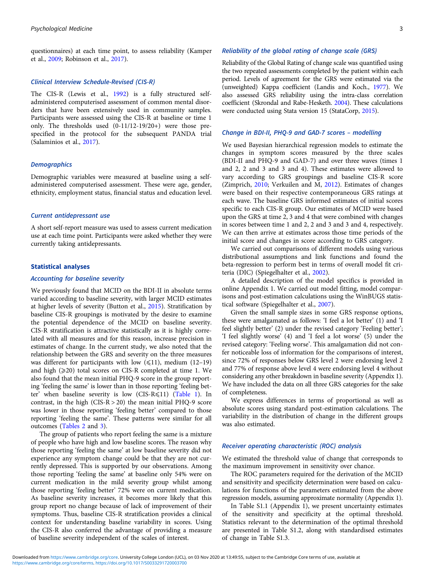questionnaires) at each time point, to assess reliability (Kamper et al., [2009;](#page-7-0) Robinson et al., [2017](#page-7-0)).

### Clinical Interview Schedule-Revised (CIS-R)

The CIS-R (Lewis et al., [1992](#page-7-0)) is a fully structured selfadministered computerised assessment of common mental disorders that have been extensively used in community samples. Participants were assessed using the CIS-R at baseline or time 1 only. The thresholds used (0-11/12-19/20+) were those prespecified in the protocol for the subsequent PANDA trial (Salaminios et al., [2017](#page-7-0)).

### **Demographics**

Demographic variables were measured at baseline using a selfadministered computerised assessment. These were age, gender, ethnicity, employment status, financial status and education level.

### Current antidepressant use

A short self-report measure was used to assess current medication use at each time point. Participants were asked whether they were currently taking antidepressants.

### Statistical analyses

### Accounting for baseline severity

We previously found that MCID on the BDI-II in absolute terms varied according to baseline severity, with larger MCID estimates at higher levels of severity (Button et al., [2015](#page-7-0)). Stratification by baseline CIS-R groupings is motivated by the desire to examine the potential dependence of the MCID on baseline severity. CIS-R stratification is attractive statistically as it is highly correlated with all measures and for this reason, increase precision in estimates of change. In the current study, we also noted that the relationship between the GRS and severity on the three measures was different for participants with low  $(\leq 11)$ , medium  $(12-19)$ and high  $(\geq 20)$  total scores on CIS-R completed at time 1. We also found that the mean initial PHQ-9 score in the group reporting 'feeling the same' is lower than in those reporting 'feeling better' when baseline severity is low (CIS-R $\leq$ 11) ([Table 1\)](#page-3-0). In contrast, in the high  $(CIS-R > 20)$  the mean initial PHQ-9 score was lower in those reporting 'feeling better' compared to those reporting 'feeling the same'. These patterns were similar for all outcomes [\(Tables 2](#page-3-0) and [3\)](#page-4-0).

The group of patients who report feeling the same is a mixture of people who have high and low baseline scores. The reason why those reporting 'feeling the same' at low baseline severity did not experience any symptom change could be that they are not currently depressed. This is supported by our observations. Among those reporting 'feeling the same' at baseline only 54% were on current medication in the mild severity group whilst among those reporting 'feeling better' 72% were on current medication. As baseline severity increases, it becomes more likely that this group report no change because of lack of improvement of their symptoms. Thus, baseline CIS-R stratification provides a clinical context for understanding baseline variability in scores. Using the CIS-R also conferred the advantage of providing a measure of baseline severity independent of the scales of interest.

### Reliability of the global rating of change scale (GRS)

Reliability of the Global Rating of change scale was quantified using the two repeated assessments completed by the patient within each period. Levels of agreement for the GRS were estimated via the (unweighted) Kappa coefficient (Landis and Koch., [1977](#page-7-0)). We also assessed GRS reliability using the intra-class correlation coefficient (Skrondal and Rabe-Hesketh. [2004\)](#page-7-0). These calculations were conducted using Stata version 15 (StataCorp, [2015](#page-7-0)).

### Change in BDI-II, PHQ-9 and GAD-7 scores – modelling

We used Bayesian hierarchical regression models to estimate the changes in symptom scores measured by the three scales (BDI-II and PHQ-9 and GAD-7) and over three waves (times 1 and 2, 2 and 3 and 3 and 4). These estimates were allowed to vary according to GRS groupings and baseline CIS-R score (Zimprich, [2010](#page-7-0); Verkuilen and M, [2012\)](#page-7-0). Estimates of changes were based on their respective contemporaneous GRS ratings at each wave. The baseline GRS informed estimates of initial scores specific to each CIS-R group. Our estimates of MCID were based upon the GRS at time 2, 3 and 4 that were combined with changes in scores between time 1 and 2, 2 and 3 and 3 and 4, respectively. We can then arrive at estimates across those time periods of the initial score and changes in score according to GRS category.

We carried out comparisons of different models using various distributional assumptions and link functions and found the beta-regression to perform best in terms of overall model fit criteria (DIC) (Spiegelhalter et al., [2002](#page-7-0)).

A detailed description of the model specifics is provided in online Appendix 1. We carried out model fitting, model comparisons and post-estimation calculations using the WinBUGS statistical software (Spiegelhalter et al., [2007\)](#page-7-0).

Given the small sample sizes in some GRS response options, these were amalgamated as follows: 'I feel a lot better' (1) and 'I feel slightly better' (2) under the revised category 'Feeling better'; 'I feel slightly worse' (4) and 'I feel a lot worse' (5) under the revised category: 'Feeling worse'. This amalgamation did not confer noticeable loss of information for the comparisons of interest, since 72% of responses below GRS level 2 were endorsing level 2 and 77% of response above level 4 were endorsing level 4 without considering any other breakdown in baseline severity (Appendix 1). We have included the data on all three GRS categories for the sake of completeness.

We express differences in terms of proportional as well as absolute scores using standard post-estimation calculations. The variability in the distribution of change in the different groups was also estimated.

### Receiver operating characteristic (ROC) analysis

We estimated the threshold value of change that corresponds to the maximum improvement in sensitivity over chance.

The ROC parameters required for the derivation of the MCID and sensitivity and specificity determination were based on calculations for functions of the parameters estimated from the above regression models, assuming approximate normality (Appendix 1).

In Table S1.1 (Appendix 1), we present uncertainty estimates of the sensitivity and specificity at the optimal threshold. Statistics relevant to the determination of the optimal threshold are presented in Table S1.2, along with standardised estimates of change in Table S1.3.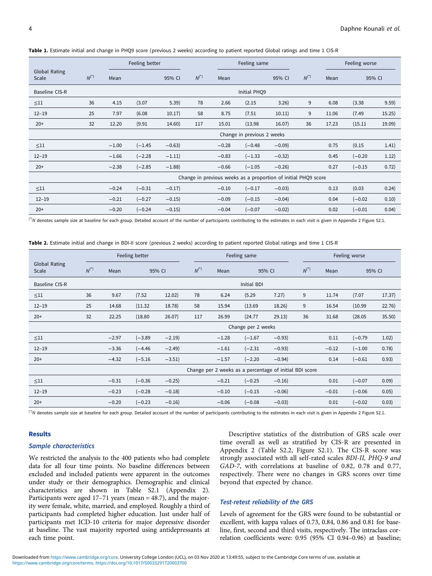|                               |               |         | Feeling better                                                 |           |               | Feeling same |              |           |           | Feeling worse |           |        |
|-------------------------------|---------------|---------|----------------------------------------------------------------|-----------|---------------|--------------|--------------|-----------|-----------|---------------|-----------|--------|
| <b>Global Rating</b><br>Scale | $N^{(\star)}$ | Mean    |                                                                | 95% CI    | $N^{(\star)}$ | Mean         |              | 95% CI    | $N^{(*)}$ | Mean          |           | 95% CI |
| Baseline CIS-R                |               |         |                                                                |           |               |              | Initial PHO9 |           |           |               |           |        |
| $\leq 11$                     | 36            | 4.15    | (3.07)                                                         | 5.39)     | 78            | 2.66         | (2.15)       | 3.26)     | 9         | 6.08          | (3.38)    | 9.59)  |
| $12 - 19$                     | 25            | 7.97    | (6.08)                                                         | 10.17)    | 58            | 8.75         | (7.51)       | 10.11)    | 9         | 11.06         | (7.49)    | 15.25) |
| $20+$                         | 32            | 12.20   | (9.91)                                                         | 14.60)    | 117           | 15.01        | (13.98)      | 16.07)    | 36        | 17.23         | (15.11)   | 19.09) |
|                               |               |         | Change in previous 2 weeks                                     |           |               |              |              |           |           |               |           |        |
| $\leq$ 11                     |               | $-1.00$ | $(-1.45)$                                                      | $-0.63$ ) |               | $-0.28$      | $(-0.48)$    | $-0.09$   |           | 0.75          | (0.15)    | 1.41)  |
| $12 - 19$                     |               | $-1.66$ | $(-2.28)$                                                      | $-1.11)$  |               | $-0.83$      | $(-1.33)$    | $-0.32$ ) |           | 0.45          | $(-0.20)$ | 1.12)  |
| $20+$                         |               | $-2.38$ | $(-2.85)$                                                      | $-1.88$   |               | $-0.66$      | $(-1.05)$    | $-0.26$   |           | 0.27          | $(-0.15)$ | 0.72)  |
|                               |               |         | Change in previous weeks as a proportion of initial PHQ9 score |           |               |              |              |           |           |               |           |        |
| $\leq$ 11                     |               | $-0.24$ | $(-0.31)$                                                      | $-0.17)$  |               | $-0.10$      | $(-0.17)$    | $-0.03$   |           | 0.13          | (0.03)    | 0.24)  |
| $12 - 19$                     |               | $-0.21$ | $(-0.27)$                                                      | $-0.15$ ) |               | $-0.09$      | $(-0.15)$    | $-0.04$ ) |           | 0.04          | $(-0.02)$ | 0.10)  |
| $20+$                         |               | $-0.20$ | $(-0.24)$                                                      | $-0.15$   |               | $-0.04$      | $(-0.07)$    | $-0.02$ ) |           | 0.02          | $(-0.01)$ | 0.04)  |

<span id="page-3-0"></span>Table 1. Estimate initial and change in PHO9 score (previous 2 weeks) according to patient reported Global ratings and time 1 CIS-R

(\*)N denotes sample size at baseline for each group. Detailed account of the number of participants contributing to the estimates in each visit is given in Appendix 2 Figure S2.1.

Table 2. Estimate initial and change in BDI-II score (previous 2 weeks) according to patient reported Global ratings and time 1 CIS-R

|                               |           |                    | Feeling better |         |               | Feeling same |             |                                                         |           | Feeling worse |           |        |  |
|-------------------------------|-----------|--------------------|----------------|---------|---------------|--------------|-------------|---------------------------------------------------------|-----------|---------------|-----------|--------|--|
| <b>Global Rating</b><br>Scale | $N^{(*)}$ | Mean               |                | 95% CI  | $N^{(\star)}$ | Mean         |             | 95% CI                                                  | $N^{(*)}$ | Mean          | 95% CI    |        |  |
| Baseline CIS-R                |           |                    |                |         |               |              | Initial BDI |                                                         |           |               |           |        |  |
| $\leq$ 11                     | 36        | 9.67               | (7.52)         | 12.02)  | 78            | 6.24         | (5.29)      | 7.27)                                                   | 9         | 11.74         | (7.07)    | 17.37) |  |
| $12 - 19$                     | 25        | 14.68              | (11.32)        | 18.78)  | 58            | 15.94        | (13.69)     | 18.26)                                                  | 9         | 16.54         | (10.99)   | 22.76) |  |
| $20+$                         | 32        | 22.25              | (18.80)        | 26.07)  | 117           | 26.99        | (24.77)     | 29.13)                                                  | 36        | 31.68         | (28.05)   | 35.50) |  |
|                               |           | Change per 2 weeks |                |         |               |              |             |                                                         |           |               |           |        |  |
| $\leq$ 11                     |           | $-2.97$            | $(-3.89)$      | $-2.19$ |               | $-1.28$      | $(-1.67)$   | $-0.93$                                                 |           | 0.11          | $(-0.79)$ | 1.02)  |  |
| $12 - 19$                     |           | $-3.36$            | $(-4.46)$      | $-2.49$ |               | $-1.61$      | $(-2.31)$   | $-0.93$                                                 |           | $-0.12$       | $(-1.00)$ | 0.78)  |  |
| $20+$                         |           | $-4.32$            | $(-5.16)$      | $-3.51$ |               | $-1.57$      | $(-2.20)$   | $-0.94)$                                                |           | 0.14          | $(-0.61)$ | 0.93)  |  |
|                               |           |                    |                |         |               |              |             | Change per 2 weeks as a percentage of initial BDI score |           |               |           |        |  |
| $\leq$ 11                     |           | $-0.31$            | $(-0.36)$      | $-0.25$ |               | $-0.21$      | $(-0.25)$   | $-0.16$ )                                               |           | 0.01          | $(-0.07)$ | 0.09)  |  |
| $12 - 19$                     |           | $-0.23$            | $(-0.28)$      | $-0.18$ |               | $-0.10$      | $(-0.15)$   | $-0.06$ )                                               |           | $-0.01$       | $(-0.06)$ | 0.05)  |  |
| $20+$                         |           | $-0.20$            | $(-0.23)$      | $-0.16$ |               | $-0.06$      | $(-0.08)$   | $-0.03$ )                                               |           | 0.01          | $(-0.02)$ | 0.03)  |  |

(\*)N denotes sample size at baseline for each group. Detailed account of the number of participants contributing to the estimates in each visit is given in Appendix 2 Figure S2.1.

### Results

### Sample characteristics

We restricted the analysis to the 400 patients who had complete data for all four time points. No baseline differences between excluded and included patients were apparent in the outcomes under study or their demographics. Demographic and clinical characteristics are shown in Table S2.1 (Appendix 2). Participants were aged 17–71 years (mean = 48.7), and the majority were female, white, married, and employed. Roughly a third of participants had completed higher education. Just under half of participants met ICD-10 criteria for major depressive disorder at baseline. The vast majority reported using antidepressants at each time point.

Descriptive statistics of the distribution of GRS scale over time overall as well as stratified by CIS-R are presented in Appendix 2 (Table S2.2, Figure S2.1). The CIS-R score was strongly associated with all self-rated scales BDI-II, PHQ-9 and GAD-7, with correlations at baseline of 0.82, 0.78 and 0.77, respectively. There were no changes in GRS scores over time beyond that expected by chance.

### Test-retest reliability of the GRS

Levels of agreement for the GRS were found to be substantial or excellent, with kappa values of 0.73, 0.84, 0.86 and 0.81 for baseline, first, second and third visits, respectively. The intraclass correlation coefficients were: 0.95 (95% CI 0.94–0.96) at baseline;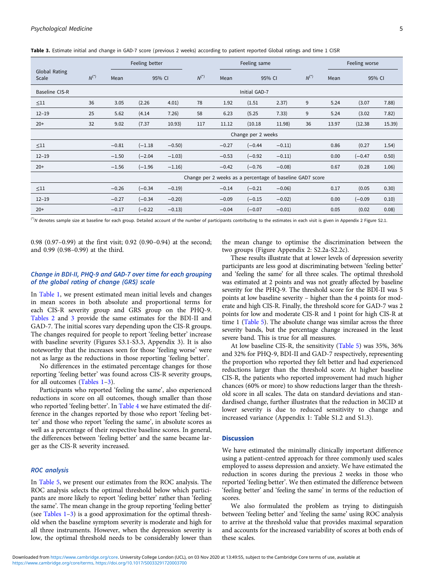<span id="page-4-0"></span>

| Table 3. Estimate initial and change in GAD-7 score (previous 2 weeks) according to patient reported Global ratings and time 1 CISR |  |  |  |
|-------------------------------------------------------------------------------------------------------------------------------------|--|--|--|
|-------------------------------------------------------------------------------------------------------------------------------------|--|--|--|

|                               |               |         | Feeling better     |           |           |         | Feeling same  |                                                           |           |       | Feeling worse |        |  |
|-------------------------------|---------------|---------|--------------------|-----------|-----------|---------|---------------|-----------------------------------------------------------|-----------|-------|---------------|--------|--|
| <b>Global Rating</b><br>Scale | $N^{(\star)}$ | Mean    |                    | 95% CI    | $N^{(*)}$ | Mean    |               | 95% CI                                                    | $N^{(*)}$ | Mean  | 95% CI        |        |  |
| Baseline CIS-R                |               |         |                    |           |           |         | Initial GAD-7 |                                                           |           |       |               |        |  |
| $\leq11$                      | 36            | 3.05    | (2.26)             | 4.01)     | 78        | 1.92    | (1.51)        | 2.37)                                                     | 9         | 5.24  | (3.07)        | 7.88)  |  |
| $12 - 19$                     | 25            | 5.62    | (4.14)             | 7.26)     | 58        | 6.23    | (5.25)        | 7.33)                                                     | 9         | 5.24  | (3.02)        | 7.82)  |  |
| $20+$                         | 32            | 9.02    | (7.37)             | 10.93)    | 117       | 11.12   | (10.18)       | 11.98)                                                    | 36        | 13.97 | (12.38)       | 15.39) |  |
|                               |               |         | Change per 2 weeks |           |           |         |               |                                                           |           |       |               |        |  |
| $\leq11$                      |               | $-0.81$ | $(-1.18)$          | $-0.50$ ) |           | $-0.27$ | $(-0.44)$     | $-0.11$                                                   |           | 0.86  | (0.27)        | 1.54)  |  |
| $12 - 19$                     |               | $-1.50$ | $(-2.04)$          | $-1.03$   |           | $-0.53$ | $(-0.92)$     | $-0.11$                                                   |           | 0.00  | $(-0.47)$     | 0.50)  |  |
| $20+$                         |               | $-1.56$ | $(-1.96)$          | $-1.16$   |           | $-0.42$ | $(-0.76)$     | $-0.08$ )                                                 |           | 0.67  | (0.28)        | 1.06)  |  |
|                               |               |         |                    |           |           |         |               | Change per 2 weeks as a percentage of baseline GAD7 score |           |       |               |        |  |
| $\leq$ 11                     |               | $-0.26$ | $(-0.34)$          | $-0.19$   |           | $-0.14$ | $(-0.21)$     | $-0.06$ )                                                 |           | 0.17  | (0.05)        | 0.30)  |  |
| $12 - 19$                     |               | $-0.27$ | $(-0.34)$          | $-0.20$ ) |           | $-0.09$ | $(-0.15)$     | $-0.02$ )                                                 |           | 0.00  | $(-0.09)$     | 0.10)  |  |
| $20+$                         |               | $-0.17$ | $(-0.22)$          | $-0.13$   |           | $-0.04$ | $(-0.07)$     | $-0.01$ )                                                 |           | 0.05  | (0.02)        | 0.08)  |  |

(\*)N denotes sample size at baseline for each group. Detailed account of the number of participants contributing to the estimates in each visit is given in Appendix 2 Figure S2.1.

0.98 (0.97–0.99) at the first visit; 0.92 (0.90–0.94) at the second; and 0.99 (0.98–0.99) at the third.

# the mean change to optimise the discrimination between the two groups (Figure Appendix 2: S2.2a-S2.2c).

### Change in BDI-II, PHQ-9 and GAD-7 over time for each grouping of the global rating of change (GRS) scale

In [Table 1,](#page-3-0) we present estimated mean initial levels and changes in mean scores in both absolute and proportional terms for each CIS-R severity group and GRS group on the PHQ-9. [Tables 2](#page-3-0) and 3 provide the same estimates for the BDI-II and GAD-7. The initial scores vary depending upon the CIS-R groups. The changes required for people to report 'feeling better' increase with baseline severity (Figures S3.1-S3.3, Appendix 3). It is also noteworthy that the increases seen for those 'feeling worse' were not as large as the reductions in those reporting 'feeling better'.

No differences in the estimated percentage changes for those reporting 'feeling better' was found across CIS-R severity groups, for all outcomes [\(Tables 1](#page-3-0)–3).

Participants who reported 'feeling the same', also experienced reductions in score on all outcomes, though smaller than those who reported 'feeling better'. In [Table 4](#page-5-0) we have estimated the difference in the changes reported by those who report 'feeling better' and those who report 'feeling the same', in absolute scores as well as a percentage of their respective baseline scores. In general, the differences between 'feeling better' and the same became larger as the CIS-R severity increased.

### ROC analysis

In [Table 5](#page-5-0), we present our estimates from the ROC analysis. The ROC analysis selects the optimal threshold below which participants are more likely to report 'feeling better' rather than 'feeling the same'. The mean change in the group reporting 'feeling better' (see [Tables 1](#page-3-0)–3) is a good approximation for the optimal threshold when the baseline symptom severity is moderate and high for all three instruments. However, when the depression severity is low, the optimal threshold needs to be considerably lower than

These results illustrate that at lower levels of depression severity participants are less good at discriminating between 'feeling better' and 'feeling the same' for all three scales. The optimal threshold was estimated at 2 points and was not greatly affected by baseline severity for the PHQ-9. The threshold score for the BDI-II was 5 points at low baseline severity – higher than the 4 points for moderate and high CIS-R. Finally, the threshold score for GAD-7 was 2 points for low and moderate CIS-R and 1 point for high CIS-R at time 1 [\(Table 5](#page-5-0)). The absolute change was similar across the three severity bands, but the percentage change increased in the least severe band. This is true for all measures.

At low baseline CIS-R, the sensitivity ([Table 5](#page-5-0)) was 35%, 36% and 32% for PHQ-9, BDI-II and GAD-7 respectively, representing the proportion who reported they felt better and had experienced reductions larger than the threshold score. At higher baseline CIS-R, the patients who reported improvement had much higher chances (60% or more) to show reductions larger than the threshold score in all scales. The data on standard deviations and standardised change, further illustrates that the reduction in MCID at lower severity is due to reduced sensitivity to change and increased variance (Appendix 1: Table S1.2 and S1.3).

### **Discussion**

We have estimated the minimally clinically important difference using a patient-centred approach for three commonly used scales employed to assess depression and anxiety. We have estimated the reduction in scores during the previous 2 weeks in those who reported 'feeling better'. We then estimated the difference between 'feeling better' and 'feeling the same' in terms of the reduction of scores.

We also formulated the problem as trying to distinguish between 'feeling better' and 'feeling the same' using ROC analysis to arrive at the threshold value that provides maximal separation and accounts for the increased variability of scores at both ends of these scales.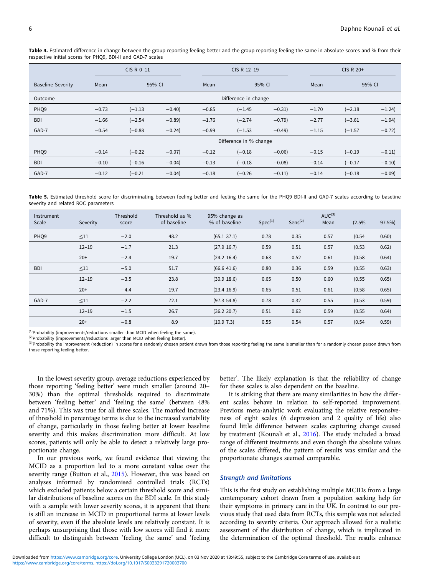<span id="page-5-0"></span>Table 4. Estimated difference in change between the group reporting feeling better and the group reporting feeling the same in absolute scores and % from their respective initial scores for PHQ9, BDI-II and GAD-7 scales

|                          | CIS-R 0-11 |                        |           |         | CIS-R 12-19          |           | $CIS-R 20+$ |           |          |  |
|--------------------------|------------|------------------------|-----------|---------|----------------------|-----------|-------------|-----------|----------|--|
| <b>Baseline Severity</b> | Mean       | 95% CI                 |           | Mean    | 95% CI               |           | Mean        | 95% CI    |          |  |
| Outcome                  |            |                        |           |         | Difference in change |           |             |           |          |  |
| PHQ <sub>9</sub>         | $-0.73$    | $(-1.13)$              | $-0.40$ ) | $-0.85$ | $(-1.45)$            | $-0.31$   | $-1.70$     | $(-2.18)$ | $-1.24$  |  |
| <b>BDI</b>               | $-1.66$    | $(-2.54)$              | $-0.89$   | $-1.76$ | $(-2.74)$            | $-0.79$   | $-2.77$     | $(-3.61)$ | $-1.94)$ |  |
| GAD-7                    | $-0.54$    | $(-0.88)$              | $-0.24$ ) | $-0.99$ | $(-1.53)$            | $-0.49$   | $-1.15$     | $(-1.57)$ | $-0.72$  |  |
|                          |            | Difference in % change |           |         |                      |           |             |           |          |  |
| PHQ <sub>9</sub>         | $-0.14$    | $(-0.22)$              | $-0.07$ ) | $-0.12$ | $(-0.18)$            | $-0.06$ ) | $-0.15$     | $(-0.19)$ | $-0.11)$ |  |
| <b>BDI</b>               | $-0.10$    | $(-0.16)$              | $-0.04)$  | $-0.13$ | $(-0.18)$            | $-0.08$ ) | $-0.14$     | $(-0.17)$ | $-0.10$  |  |
| GAD-7                    | $-0.12$    | $(-0.21)$              | $-0.04$ ) | $-0.18$ | $(-0.26)$            | $-0.11$   | $-0.14$     | $(-0.18)$ | $-0.09$  |  |

Table 5. Estimated threshold score for discriminating between feeling better and feeling the same for the PHQ9 BDI-II and GAD-7 scales according to baseline severity and related ROC parameters

| Instrument<br>Scale | Severity  | Threshold<br>score | Threshold as %<br>of baseline | 95% change as<br>% of baseline | $Spec^{(1)}$ | Sens $(2)$ | AUC <sup>(3)</sup><br>Mean | (2.5%  | 97.5%) |
|---------------------|-----------|--------------------|-------------------------------|--------------------------------|--------------|------------|----------------------------|--------|--------|
| PHQ <sub>9</sub>    | $\leq$ 11 | $-2.0$             | 48.2                          | (65.1 37.1)                    | 0.78         | 0.35       | 0.57                       | (0.54) | 0.60)  |
|                     | $12 - 19$ | $-1.7$             | 21.3                          | (27.9 16.7)                    | 0.59         | 0.51       | 0.57                       | (0.53) | 0.62)  |
|                     | $20+$     | $-2.4$             | 19.7                          | (24.2 16.4)                    | 0.63         | 0.52       | 0.61                       | (0.58) | 0.64)  |
| <b>BDI</b>          | $\leq11$  | $-5.0$             | 51.7                          | (66.6 41.6)                    | 0.80         | 0.36       | 0.59                       | (0.55) | 0.63)  |
|                     | $12 - 19$ | $-3.5$             | 23.8                          | (30.9 18.6)                    | 0.65         | 0.50       | 0.60                       | (0.55) | 0.65)  |
|                     | $20+$     | $-4.4$             | 19.7                          | (23.4 16.9)                    | 0.65         | 0.51       | 0.61                       | (0.58) | 0.65)  |
| GAD-7               | $\leq$ 11 | $-2.2$             | 72.1                          | (97.354.8)                     | 0.78         | 0.32       | 0.55                       | (0.53) | 0.59)  |
|                     | $12 - 19$ | $-1.5$             | 26.7                          | (36.2 20.7)                    | 0.51         | 0.62       | 0.59                       | (0.55) | 0.64)  |
|                     | $20+$     | $-0.8$             | 8.9                           | (10.9 7.3)                     | 0.55         | 0.54       | 0.57                       | (0.54) | 0.59)  |

<sup>(1)</sup>Probability (improvements/reductions smaller than MCID when feeling the same).<br><sup>(2)</sup>Probability (improvements/reductions larger than MCID when feeling better).<br><sup>(3)</sup>Probability the improvement (reduction) in scores fo those reporting feeling better.

In the lowest severity group, average reductions experienced by those reporting 'feeling better' were much smaller (around 20– 30%) than the optimal thresholds required to discriminate between 'feeling better' and 'feeling the same' (between 48% and 71%). This was true for all three scales. The marked increase of threshold in percentage terms is due to the increased variability of change, particularly in those feeling better at lower baseline severity and this makes discrimination more difficult. At low scores, patients will only be able to detect a relatively large proportionate change.

In our previous work, we found evidence that viewing the MCID as a proportion led to a more constant value over the severity range (Button et al., [2015\)](#page-7-0). However, this was based on analyses informed by randomised controlled trials (RCTs) which excluded patients below a certain threshold score and similar distributions of baseline scores on the BDI scale. In this study with a sample with lower severity scores, it is apparent that there is still an increase in MCID in proportional terms at lower levels of severity, even if the absolute levels are relatively constant. It is perhaps unsurprising that those with low scores will find it more difficult to distinguish between 'feeling the same' and 'feeling

better'. The likely explanation is that the reliability of change for these scales is also dependent on the baseline.

It is striking that there are many similarities in how the different scales behave in relation to self-reported improvement. Previous meta-analytic work evaluating the relative responsiveness of eight scales (6 depression and 2 quality of life) also found little difference between scales capturing change caused by treatment (Kounali et al., [2016](#page-7-0)). The study included a broad range of different treatments and even though the absolute values of the scales differed, the pattern of results was similar and the proportionate changes seemed comparable.

### Strength and limitations

This is the first study on establishing multiple MCIDs from a large contemporary cohort drawn from a population seeking help for their symptoms in primary care in the UK. In contrast to our previous study that used data from RCTs, this sample was not selected according to severity criteria. Our approach allowed for a realistic assessment of the distribution of change, which is implicated in the determination of the optimal threshold. The results enhance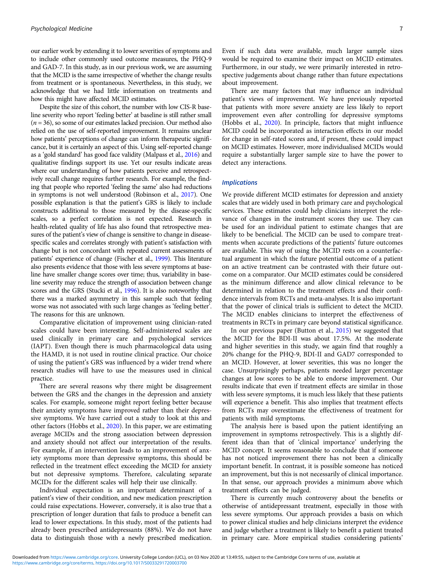our earlier work by extending it to lower severities of symptoms and to include other commonly used outcome measures, the PHQ-9 and GAD-7. In this study, as in our previous work, we are assuming that the MCID is the same irrespective of whether the change results from treatment or is spontaneous. Nevertheless, in this study, we acknowledge that we had little information on treatments and how this might have affected MCID estimates.

Despite the size of this cohort, the number with low CIS-R baseline severity who report 'feeling better' at baseline is still rather small  $(n = 36)$ , so some of our estimates lacked precision. Our method also relied on the use of self-reported improvement. It remains unclear how patients' perceptions of change can inform therapeutic significance, but it is certainly an aspect of this. Using self-reported change as a 'gold standard' has good face validity (Malpass et al., [2016](#page-7-0)) and qualitative findings support its use. Yet our results indicate areas where our understanding of how patients perceive and retrospectively recall change requires further research. For example, the finding that people who reported 'feeling the same' also had reductions in symptoms is not well understood (Robinson et al., [2017](#page-7-0)). One possible explanation is that the patient's GRS is likely to include constructs additional to those measured by the disease-specific scales, so a perfect correlation is not expected. Research in health-related quality of life has also found that retrospective measures of the patient's view of change is sensitive to change in diseasespecific scales and correlates strongly with patient's satisfaction with change but is not concordant with repeated current assessments of patients' experience of change (Fischer et al., [1999](#page-7-0)). This literature also presents evidence that those with less severe symptoms at baseline have smaller change scores over time; thus, variability in baseline severity may reduce the strength of association between change scores and the GRS (Stucki et al., [1996\)](#page-7-0). It is also noteworthy that there was a marked asymmetry in this sample such that feeling worse was not associated with such large changes as 'feeling better'. The reasons for this are unknown.

Comparative elicitation of improvement using clinician-rated scales could have been interesting. Self-administered scales are used clinically in primary care and psychological services (IAPT). Even though there is much pharmacological data using the HAMD, it is not used in routine clinical practice. Our choice of using the patient's GRS was influenced by a wider trend where research studies will have to use the measures used in clinical practice.

There are several reasons why there might be disagreement between the GRS and the changes in the depression and anxiety scales. For example, someone might report feeling better because their anxiety symptoms have improved rather than their depressive symptoms. We have carried out a study to look at this and other factors (Hobbs et al., [2020\)](#page-7-0). In this paper, we are estimating average MCIDs and the strong association between depression and anxiety should not affect our interpretation of the results. For example, if an intervention leads to an improvement of anxiety symptoms more than depressive symptoms, this should be reflected in the treatment effect exceeding the MCID for anxiety but not depressive symptoms. Therefore, calculating separate MCIDs for the different scales will help their use clinically.

Individual expectation is an important determinant of a patient's view of their condition, and new medication prescription could raise expectations. However, conversely, it is also true that a prescription of longer duration that fails to produce a benefit can lead to lower expectations. In this study, most of the patients had already been prescribed antidepressants (88%). We do not have data to distinguish those with a newly prescribed medication.

Even if such data were available, much larger sample sizes would be required to examine their impact on MCID estimates. Furthermore, in our study, we were primarily interested in retrospective judgements about change rather than future expectations about improvement.

There are many factors that may influence an individual patient's views of improvement. We have previously reported that patients with more severe anxiety are less likely to report improvement even after controlling for depressive symptoms (Hobbs et al., [2020](#page-7-0)). In principle, factors that might influence MCID could be incorporated as interaction effects in our model for change in self-rated scores and, if present, these could impact on MCID estimates. However, more individualised MCIDs would require a substantially larger sample size to have the power to detect any interactions.

### Implications

We provide different MCID estimates for depression and anxiety scales that are widely used in both primary care and psychological services. These estimates could help clinicians interpret the relevance of changes in the instrument scores they use. They can be used for an individual patient to estimate changes that are likely to be beneficial. The MCID can be used to compare treatments when accurate predictions of the patients' future outcomes are available. This way of using the MCID rests on a counterfactual argument in which the future potential outcome of a patient on an active treatment can be contrasted with their future outcome on a comparator. Our MCID estimates could be considered as the minimum difference and allow clinical relevance to be determined in relation to the treatment effects and their confidence intervals from RCTs and meta-analyses. It is also important that the power of clinical trials is sufficient to detect the MCID. The MCID enables clinicians to interpret the effectiveness of treatments in RCTs in primary care beyond statistical significance.

In our previous paper (Button et al., [2015](#page-7-0)) we suggested that the MCID for the BDI-II was about 17.5%. At the moderate and higher severities in this study, we again find that roughly a 20% change for the PHQ-9, BDI-II and GAD7 corresponded to an MCID. However, at lower severities, this was no longer the case. Unsurprisingly perhaps, patients needed larger percentage changes at low scores to be able to endorse improvement. Our results indicate that even if treatment effects are similar in those with less severe symptoms, it is much less likely that these patients will experience a benefit. This also implies that treatment effects from RCTs may overestimate the effectiveness of treatment for patients with mild symptoms.

The analysis here is based upon the patient identifying an improvement in symptoms retrospectively. This is a slightly different idea than that of 'clinical importance' underlying the MCID concept. It seems reasonable to conclude that if someone has not noticed improvement there has not been a clinically important benefit. In contrast, it is possible someone has noticed an improvement, but this is not necessarily of clinical importance. In that sense, our approach provides a minimum above which treatment effects can be judged.

There is currently much controversy about the benefits or otherwise of antidepressant treatment, especially in those with less severe symptoms. Our approach provides a basis on which to power clinical studies and help clinicians interpret the evidence and judge whether a treatment is likely to benefit a patient treated in primary care. More empirical studies considering patients'